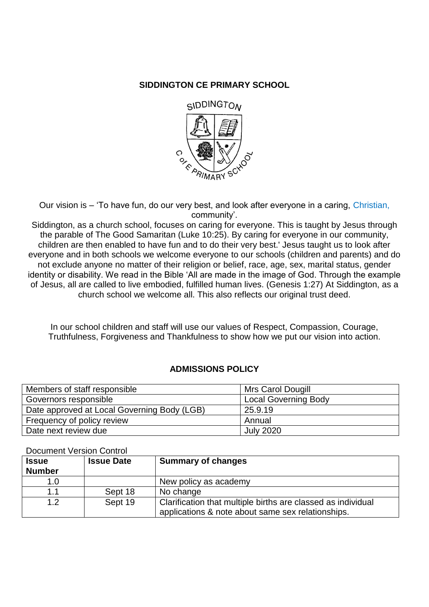# **SIDDINGTON CE PRIMARY SCHOOL**



Our vision is – 'To have fun, do our very best, and look after everyone in a caring, Christian, community'.

Siddington, as a church school, focuses on caring for everyone. This is taught by Jesus through the parable of The Good Samaritan (Luke 10:25). By caring for everyone in our community, children are then enabled to have fun and to do their very best.' Jesus taught us to look after everyone and in both schools we welcome everyone to our schools (children and parents) and do not exclude anyone no matter of their religion or belief, race, age, sex, marital status, gender identity or disability. We read in the Bible 'All are made in the image of God. Through the example of Jesus, all are called to live embodied, fulfilled human lives. (Genesis 1:27) At Siddington, as a church school we welcome all. This also reflects our original trust deed.

In our school children and staff will use our values of Respect, Compassion, Courage, Truthfulness, Forgiveness and Thankfulness to show how we put our vision into action.

## **ADMISSIONS POLICY**

| Members of staff responsible                | Mrs Carol Dougill           |
|---------------------------------------------|-----------------------------|
| Governors responsible                       | <b>Local Governing Body</b> |
| Date approved at Local Governing Body (LGB) | 25.9.19                     |
| Frequency of policy review                  | Annual                      |
| Date next review due                        | <b>July 2020</b>            |

## Document Version Control

| <b>Issue</b><br><b>Number</b> | <b>Issue Date</b> | <b>Summary of changes</b>                                                                                         |
|-------------------------------|-------------------|-------------------------------------------------------------------------------------------------------------------|
| 1.0                           |                   | New policy as academy                                                                                             |
| 1.1                           | Sept 18           | No change                                                                                                         |
| 1.2                           | Sept 19           | Clarification that multiple births are classed as individual<br>applications & note about same sex relationships. |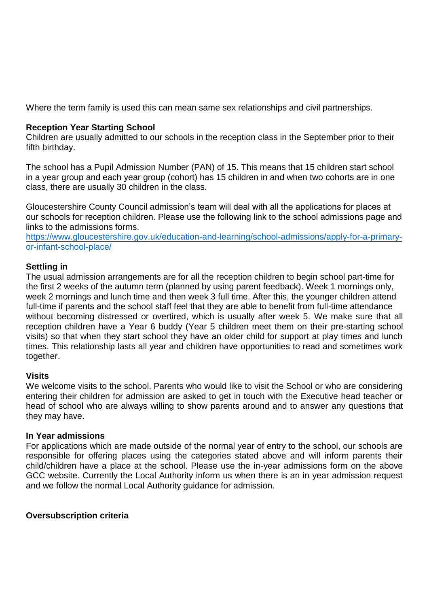Where the term family is used this can mean same sex relationships and civil partnerships.

## **Reception Year Starting School**

Children are usually admitted to our schools in the reception class in the September prior to their fifth birthday.

The school has a Pupil Admission Number (PAN) of 15. This means that 15 children start school in a year group and each year group (cohort) has 15 children in and when two cohorts are in one class, there are usually 30 children in the class.

Gloucestershire County Council admission's team will deal with all the applications for places at our schools for reception children. Please use the following link to the school admissions page and links to the admissions forms.

[https://www.gloucestershire.gov.uk/education-and-learning/school-admissions/apply-for-a-primary](https://www.gloucestershire.gov.uk/education-and-learning/school-admissions/apply-for-a-primary-or-infant-school-place/)[or-infant-school-place/](https://www.gloucestershire.gov.uk/education-and-learning/school-admissions/apply-for-a-primary-or-infant-school-place/)

### **Settling in**

The usual admission arrangements are for all the reception children to begin school part-time for the first 2 weeks of the autumn term (planned by using parent feedback). Week 1 mornings only, week 2 mornings and lunch time and then week 3 full time. After this, the younger children attend full-time if parents and the school staff feel that they are able to benefit from full-time attendance without becoming distressed or overtired, which is usually after week 5. We make sure that all reception children have a Year 6 buddy (Year 5 children meet them on their pre-starting school visits) so that when they start school they have an older child for support at play times and lunch times. This relationship lasts all year and children have opportunities to read and sometimes work together.

## **Visits**

We welcome visits to the school. Parents who would like to visit the School or who are considering entering their children for admission are asked to get in touch with the Executive head teacher or head of school who are always willing to show parents around and to answer any questions that they may have.

#### **In Year admissions**

For applications which are made outside of the normal year of entry to the school, our schools are responsible for offering places using the categories stated above and will inform parents their child/children have a place at the school. Please use the in-year admissions form on the above GCC website. Currently the Local Authority inform us when there is an in year admission request and we follow the normal Local Authority guidance for admission.

## **Oversubscription criteria**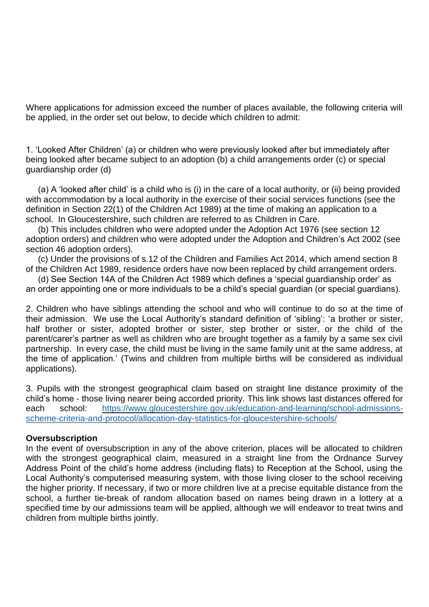Where applications for admission exceed the number of places available, the following criteria will be applied, in the order set out below, to decide which children to admit:

1. 'Looked After Children' (a) or children who were previously looked after but immediately after being looked after became subject to an adoption (b) a child arrangements order (c) or special guardianship order (d)

 (a) A 'looked after child' is a child who is (i) in the care of a local authority, or (ii) being provided with accommodation by a local authority in the exercise of their social services functions (see the definition in Section 22(1) of the Children Act 1989) at the time of making an application to a school. In Gloucestershire, such children are referred to as Children in Care.

 (b) This includes children who were adopted under the Adoption Act 1976 (see section 12 adoption orders) and children who were adopted under the Adoption and Children's Act 2002 (see section 46 adoption orders).

 (c) Under the provisions of s.12 of the Children and Families Act 2014, which amend section 8 of the Children Act 1989, residence orders have now been replaced by child arrangement orders.

 (d) See Section 14A of the Children Act 1989 which defines a 'special guardianship order' as an order appointing one or more individuals to be a child's special guardian (or special guardians).

2. Children who have siblings attending the school and who will continue to do so at the time of their admission. We use the Local Authority's standard definition of 'sibling': 'a brother or sister, half brother or sister, adopted brother or sister, step brother or sister, or the child of the parent/carer's partner as well as children who are brought together as a family by a same sex civil partnership. In every case, the child must be living in the same family unit at the same address, at the time of application.' (Twins and children from multiple births will be considered as individual applications).

3. Pupils with the strongest geographical claim based on straight line distance proximity of the child's home - those living nearer being accorded priority. This link shows last distances offered for each school: [https://www.gloucestershire.gov.uk/education-and-learning/school-admissions](https://www.gloucestershire.gov.uk/education-and-learning/school-admissions-scheme-criteria-and-protocol/allocation-day-statistics-for-gloucestershire-schools/)[scheme-criteria-and-protocol/allocation-day-statistics-for-gloucestershire-schools/](https://www.gloucestershire.gov.uk/education-and-learning/school-admissions-scheme-criteria-and-protocol/allocation-day-statistics-for-gloucestershire-schools/)

## **Oversubscription**

In the event of oversubscription in any of the above criterion, places will be allocated to children with the strongest geographical claim, measured in a straight line from the Ordnance Survey Address Point of the child's home address (including flats) to Reception at the School, using the Local Authority's computerised measuring system, with those living closer to the school receiving the higher priority. If necessary, if two or more children live at a precise equitable distance from the school, a further tie-break of random allocation based on names being drawn in a lottery at a specified time by our admissions team will be applied, although we will endeavor to treat twins and children from multiple births jointly.